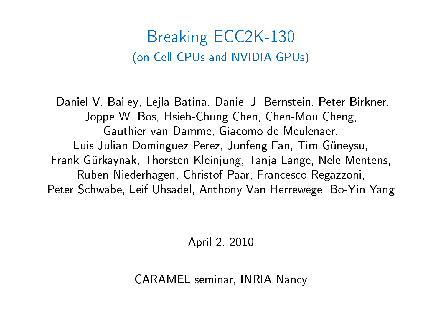### Breaking ECC2K-130 (on Cell CPUs and NVIDIA GPUs)

Daniel V. Bailey, Lejla Batina, Daniel J. Bernstein, Peter Birkner, Joppe W. Bos, Hsieh-Chung Chen, Chen-Mou Cheng, Gauthier van Damme, Giacomo de Meulenaer, Luis Julian Dominguez Perez, Junfeng Fan, Tim Güneysu, Frank Gürkaynak, Thorsten Kleinjung, Tanja Lange, Nele Mentens, Ruben Niederhagen, Christof Paar, Francesco Regazzoni, Peter Schwabe, Leif Uhsadel, Anthony Van Herrewege, Bo-Yin Yang

April 2, 2010

CARAMEL seminar, INRIA Nancy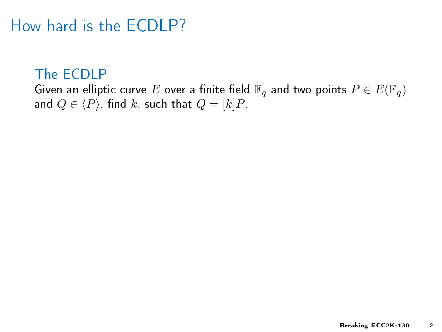### How hard is the ECDLP?

#### The ECDLP

Given an elliptic curve E over a finite field  $\mathbb{F}_q$  and two points  $P \in E(\mathbb{F}_q)$ and  $Q \in \langle P \rangle$ , find k, such that  $Q = [k]P$ .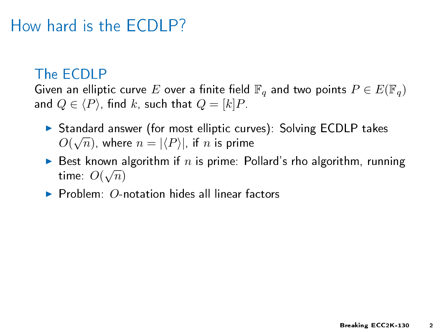# How hard is the ECDLP?

#### The ECDLP

Given an elliptic curve E over a finite field  $\mathbb{F}_q$  and two points  $P \in E(\mathbb{F}_q)$ and  $Q \in \langle P \rangle$ , find k, such that  $Q = [k]P$ .

- ► Standard answer (for most elliptic curves): Solving ECDLP takes  $O(\sqrt{n})$ , where  $n=|\langle P\rangle|$ , if  $n$  is prime
- Best known algorithm if n is prime: Pollard's rho algorithm, running  $\frac{1}{2}$  time:  $O(\sqrt{n})$
- $\triangleright$  Problem:  $\Omega$ -notation hides all linear factors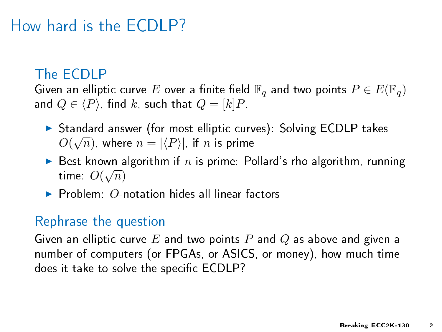# How hard is the ECDLP?

#### The ECDLP

Given an elliptic curve E over a finite field  $\mathbb{F}_q$  and two points  $P \in E(\mathbb{F}_q)$ and  $Q \in \langle P \rangle$ , find k, such that  $Q = [k]P$ .

- ► Standard answer (for most elliptic curves): Solving ECDLP takes  $O(\sqrt{n})$ , where  $n=|\langle P\rangle|$ , if  $n$  is prime
- $\triangleright$  Best known algorithm if n is prime: Pollard's rho algorithm, running  $\frac{1}{2}$  time:  $O(\sqrt{n})$
- $\blacktriangleright$  Problem: O-notation hides all linear factors

#### Rephrase the question

Given an elliptic curve  $E$  and two points  $P$  and  $Q$  as above and given a number of computers (or FPGAs, or ASICS, or money), how much time does it take to solve the specific ECDLP?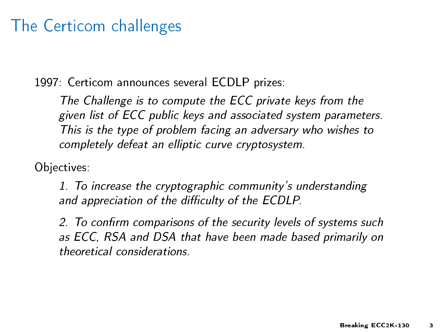### The Certicom challenges

1997: Certicom announces several ECDLP prizes:

The Challenge is to compute the ECC private keys from the given list of ECC public keys and associated system parameters. This is the type of problem facing an adversary who wishes to completely defeat an elliptic curve cryptosystem.

Objectives:

1. To increase the cryptographic community's understanding and appreciation of the difficulty of the ECDLP.

2. To confirm comparisons of the security levels of systems such as ECC, RSA and DSA that have been made based primarily on theoretical considerations.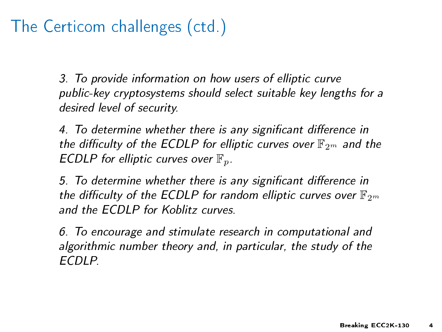# The Certicom challenges (ctd.)

3. To provide information on how users of elliptic curve public-key cryptosystems should select suitable key lengths for a desired level of security.

4. To determine whether there is any significant difference in the difficulty of the ECDLP for elliptic curves over  $\mathbb{F}_{2^m}$  and the ECDLP for elliptic curves over  $\mathbb{F}_p$ .

5. To determine whether there is any significant difference in the difficulty of the ECDLP for random elliptic curves over  $\mathbb{F}_{2^m}$ and the ECDLP for Koblitz curves.

6. To encourage and stimulate research in computational and algorithmic number theory and, in particular, the study of the ECDLP.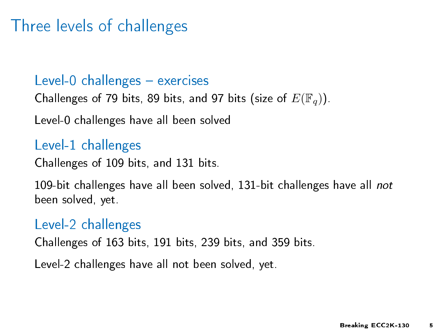### Three levels of challenges

#### Level-0 challenges  $-$  exercises

Challenges of 79 bits, 89 bits, and 97 bits (size of  $E(\mathbb{F}_q)$ ).

Level-0 challenges have all been solved

#### Level-1 challenges

Challenges of 109 bits, and 131 bits.

109-bit challenges have all been solved, 131-bit challenges have all not been solved, yet.

#### Level-2 challenges

Challenges of 163 bits, 191 bits, 239 bits, and 359 bits.

Level-2 challenges have all not been solved, yet.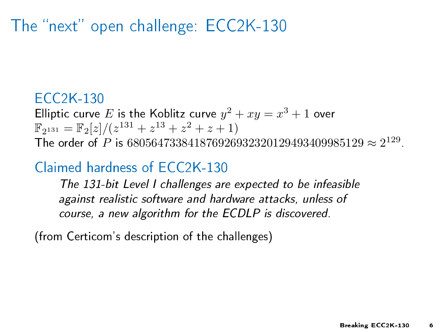# The "next" open challenge: ECC2K-130

#### ECC2K-130

Elliptic curve E is the Koblitz curve  $y^2 + xy = x^3 + 1$  over  $\mathbb{F}_{2^{131}} = \mathbb{F}_{2}[z]/(z^{131} + z^{13} + z^2 + z + 1)$ The order of P is  $680564733841876926932320129493409985129 \approx 2^{129}$ .

#### Claimed hardness of ECC2K-130

The 131-bit Level I challenges are expected to be infeasible against realistic software and hardware attacks, unless of course, a new algorithm for the ECDLP is discovered.

(from Certicom's description of the challenges)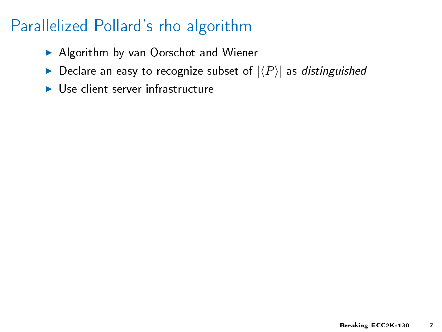- $\blacktriangleright$  Algorithm by van Oorschot and Wiener
- $\blacktriangleright$  Declare an easy-to-recognize subset of  $|\langle P\rangle|$  as distinguished
- $\blacktriangleright$  Use client-server infrastructure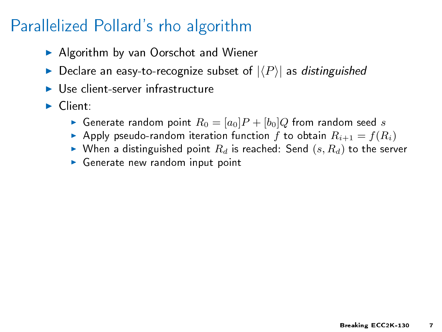- ▶ Algorithm by van Oorschot and Wiener
- $\blacktriangleright$  Declare an easy-to-recognize subset of  $|\langle P\rangle|$  as distinguished
- $\blacktriangleright$  Use client-server infrastructure
- $\blacktriangleright$  Client:
	- Generate random point  $R_0 = [a_0]P + [b_0]Q$  from random seed s
	- Apply pseudo-random iteration function f to obtain  $R_{i+1} = f(R_i)$
	- $\blacktriangleright$  When a distinguished point  $R_d$  is reached: Send  $(s, R_d)$  to the server
	- $\triangleright$  Generate new random input point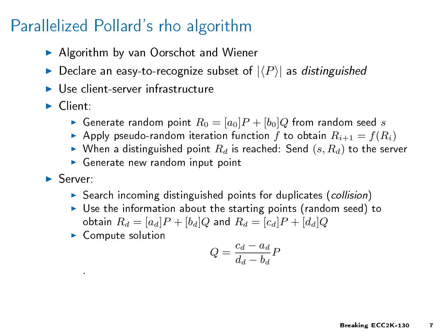- ▶ Algorithm by van Oorschot and Wiener
- $\blacktriangleright$  Declare an easy-to-recognize subset of  $|\langle P\rangle|$  as distinguished
- $\blacktriangleright$  Use client-server infrastructure
- $\blacktriangleright$  Client:
	- Generate random point  $R_0 = [a_0]P + [b_0]Q$  from random seed s
	- Apply pseudo-random iteration function f to obtain  $R_{i+1} = f(R_i)$
	- $\blacktriangleright$  When a distinguished point  $R_d$  is reached: Send  $(s, R_d)$  to the server
	- $\triangleright$  Generate new random input point
- $\blacktriangleright$  Server:

.

- $\triangleright$  Search incoming distinguished points for duplicates (collision)
- $\triangleright$  Use the information about the starting points (random seed) to obtain  $R_d = [a_d]P + [b_d]Q$  and  $R_d = [c_d]P + [d_d]Q$
- $\blacktriangleright$  Compute solution

$$
Q=\frac{c_d-a_d}{d_d-b_d}P
$$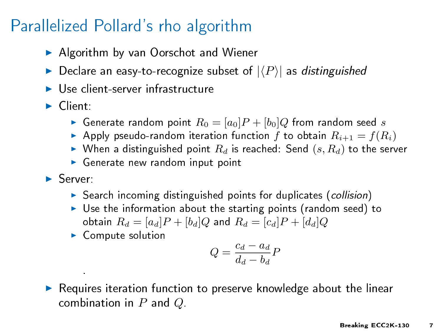- ▶ Algorithm by van Oorschot and Wiener
- $\blacktriangleright$  Declare an easy-to-recognize subset of  $|\langle P\rangle|$  as distinguished
- $\blacktriangleright$  Use client-server infrastructure
- $\blacktriangleright$  Client:
	- Generate random point  $R_0 = [a_0]P + [b_0]Q$  from random seed s
	- Apply pseudo-random iteration function f to obtain  $R_{i+1} = f(R_i)$
	- $\blacktriangleright$  When a distinguished point  $R_d$  is reached: Send  $(s, R_d)$  to the server
	- $\triangleright$  Generate new random input point
- $\blacktriangleright$  Server:

.

- $\triangleright$  Search incoming distinguished points for duplicates (collision)
- $\triangleright$  Use the information about the starting points (random seed) to obtain  $R_d = [a_d]P + [b_d]Q$  and  $R_d = [c_d]P + [d_d]Q$
- $\blacktriangleright$  Compute solution

$$
Q=\frac{c_d-a_d}{d_d-b_d}P
$$

 $\triangleright$  Requires iteration function to preserve knowledge about the linear combination in  $P$  and  $Q$ .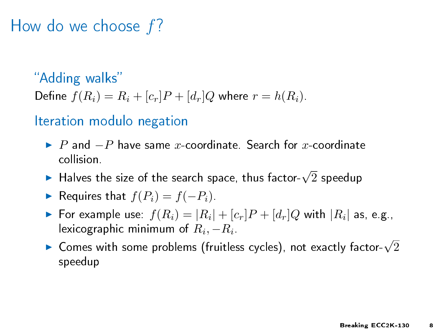### How do we choose f?

"Adding walks" Define  $f(R_i) = R_i + [c_r]P + [d_r]Q$  where  $r = h(R_i)$ .

#### Iteration modulo negation

- $\triangleright$  P and  $-P$  have same x-coordinate. Search for x-coordinate collision.
- ► Halves the size of the search space, thus factor- $\sqrt{2}$  speedup
- **►** Requires that  $f(P_i) = f(-P_i)$ .
- $\blacktriangleright$  For example use:  $f(R_i)=|R_i|+ [c_r]P + [d_r]Q$  with  $|R_i|$  as, e.g., lexicographic minimum of  $R_i, -R_i$
- $\triangleright$  Comes with some problems (fruitless cycles), not exactly factor- $\sqrt{2}$ speedup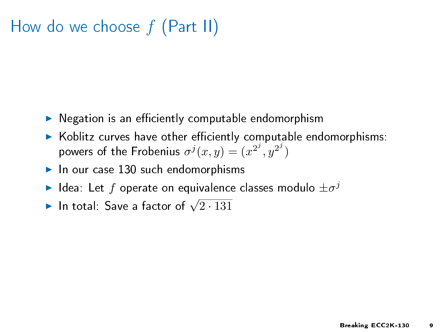# How do we choose  $f$  (Part II)

- $\triangleright$  Negation is an efficiently computable endomorphism
- $\triangleright$  Koblitz curves have other efficiently computable endomorphisms: powers of the Frobenius  $\sigma^j(x,y) = (x^{2^j}, y^{2^j})$
- $\blacktriangleright$  In our case 130 such endomorphisms
- $\blacktriangleright$  Idea: Let  $f$  operate on equivalence classes modulo  $\pm \sigma^j$
- In total: Save a factor of  $\sqrt{2.131}$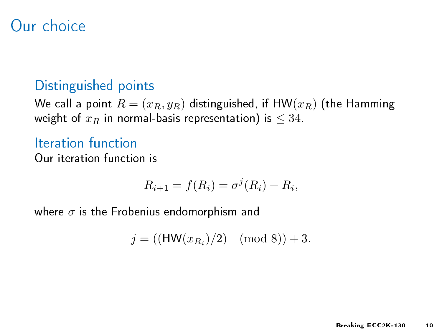### Our choice

#### Distinguished points

We call a point  $R = (x_R, y_R)$  distinguished, if HW( $x_R$ ) (the Hamming weight of  $x_R$  in normal-basis representation) is  $\leq 34$ .

Iteration function Our iteration function is

$$
R_{i+1} = f(R_i) = \sigma^j(R_i) + R_i,
$$

where  $\sigma$  is the Frobenius endomorphism and

$$
j = ((HW(x_{R_i})/2) \pmod{8}) + 3.
$$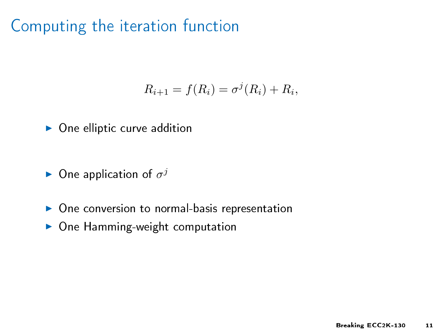$$
R_{i+1} = f(R_i) = \sigma^j(R_i) + R_i,
$$

- $\triangleright$  One elliptic curve addition
- $\blacktriangleright$  One application of  $\sigma^j$
- $\triangleright$  One conversion to normal-basis representation
- $\triangleright$  One Hamming-weight computation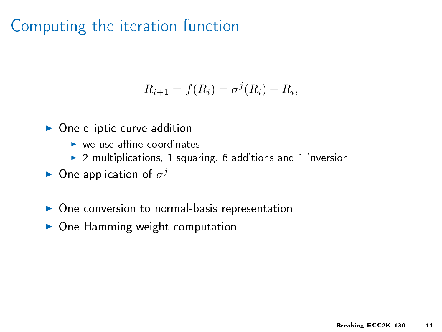$$
R_{i+1} = f(R_i) = \sigma^j(R_i) + R_i,
$$

- $\triangleright$  One elliptic curve addition
	- $\blacktriangleright$  we use affine coordinates
	- $\blacktriangleright$  2 multiplications, 1 squaring, 6 additions and 1 inversion
- $\blacktriangleright$  One application of  $\sigma^j$
- $\triangleright$  One conversion to normal-basis representation
- $\triangleright$  One Hamming-weight computation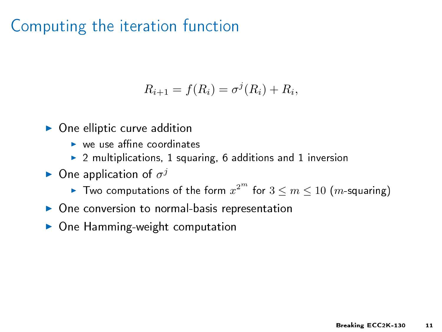$$
R_{i+1} = f(R_i) = \sigma^j(R_i) + R_i,
$$

- $\triangleright$  One elliptic curve addition
	- $\blacktriangleright$  we use affine coordinates
	- $\blacktriangleright$  2 multiplications, 1 squaring, 6 additions and 1 inversion
- $\blacktriangleright$  One application of  $\sigma^j$ 
	- $\blacktriangleright$  Two computations of the form  $x^{2^m}$  for  $3\leq m\leq 10$   $(m$ -squaring)
- $\triangleright$  One conversion to normal-basis representation
- $\triangleright$  One Hamming-weight computation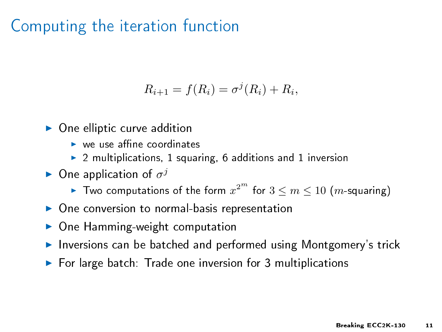$$
R_{i+1} = f(R_i) = \sigma^j(R_i) + R_i,
$$

- $\triangleright$  One elliptic curve addition
	- $\blacktriangleright$  we use affine coordinates
	- $\triangleright$  2 multiplications, 1 squaring, 6 additions and 1 inversion
- $\blacktriangleright$  One application of  $\sigma^j$ 
	- $\blacktriangleright$  Two computations of the form  $x^{2^m}$  for  $3\leq m\leq 10$   $(m$ -squaring)
- $\triangleright$  One conversion to normal-basis representation
- $\triangleright$  One Hamming-weight computation
- Inversions can be batched and performed using Montgomery's trick
- $\triangleright$  For large batch: Trade one inversion for 3 multiplications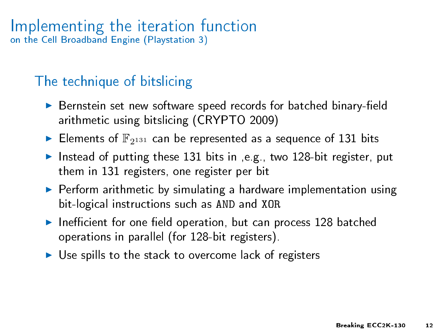#### Implementing the iteration function on the Cell Broadband Engine (Playstation 3)

#### The technique of bitslicing

- $\triangleright$  Bernstein set new software speed records for batched binary-field arithmetic using bitslicing (CRYPTO 2009)
- $\blacktriangleright$  Elements of  $\mathbb{F}_{2^{131}}$  can be represented as a sequence of 131 bits
- Instead of putting these 131 bits in ,e.g., two 128-bit register, put them in 131 registers, one register per bit
- $\triangleright$  Perform arithmetic by simulating a hardware implementation using bit-logical instructions such as AND and XOR
- Inefficient for one field operation, but can process 128 batched operations in parallel (for 128-bit registers).
- $\triangleright$  Use spills to the stack to overcome lack of registers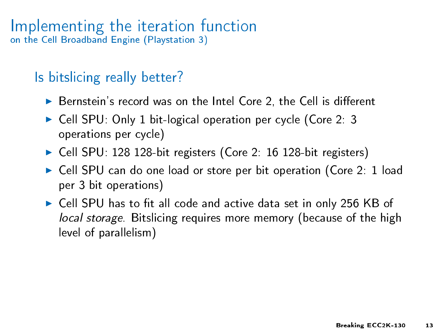#### Implementing the iteration function on the Cell Broadband Engine (Playstation 3)

#### Is bitslicing really better?

- $\triangleright$  Bernstein's record was on the Intel Core 2, the Cell is different
- ► Cell SPU: Only 1 bit-logical operation per cycle (Core 2: 3 operations per cycle)
- ▶ Cell SPU: 128 128-bit registers (Core 2: 16 128-bit registers)
- ▶ Cell SPU can do one load or store per bit operation (Core 2: 1 load per 3 bit operations)
- $\triangleright$  Cell SPU has to fit all code and active data set in only 256 KB of local storage. Bitslicing requires more memory (because of the high level of parallelism)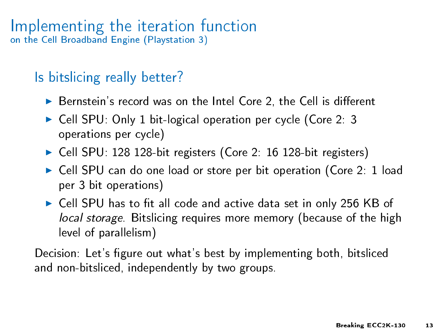#### Implementing the iteration function on the Cell Broadband Engine (Playstation 3)

#### Is bitslicing really better?

- $\triangleright$  Bernstein's record was on the Intel Core 2, the Cell is different
- ► Cell SPU: Only 1 bit-logical operation per cycle (Core 2: 3 operations per cycle)
- ▶ Cell SPU: 128 128-bit registers (Core 2: 16 128-bit registers)
- ► Cell SPU can do one load or store per bit operation (Core 2: 1 load per 3 bit operations)
- $\triangleright$  Cell SPU has to fit all code and active data set in only 256 KB of local storage. Bitslicing requires more memory (because of the high level of parallelism)

Decision: Let's figure out what's best by implementing both, bitsliced and non-bitsliced, independently by two groups.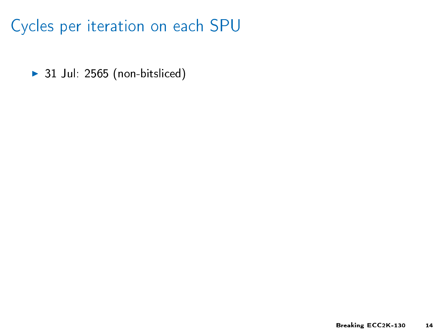$\blacktriangleright$  31 Jul: 2565 (non-bitsliced)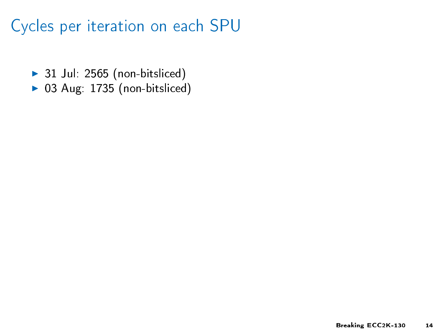- $\blacktriangleright$  31 Jul: 2565 (non-bitsliced)
- $\triangleright$  03 Aug: 1735 (non-bitsliced)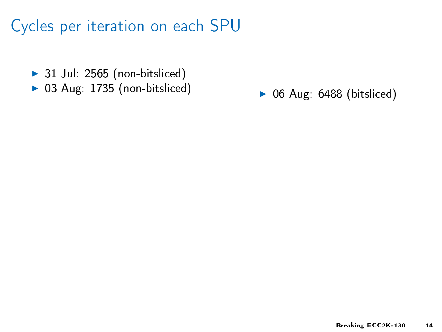- $\blacktriangleright$  31 Jul: 2565 (non-bitsliced)
- $\triangleright$  03 Aug: 1735 (non-bitsliced)

 $\triangleright$  06 Aug: 6488 (bitsliced)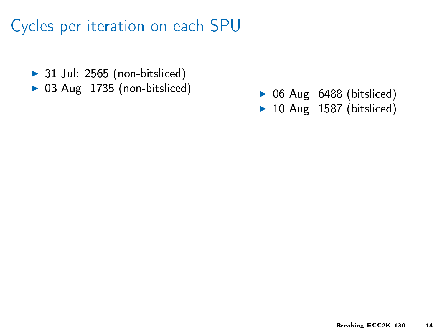- $\blacktriangleright$  31 Jul: 2565 (non-bitsliced)
- $\triangleright$  03 Aug: 1735 (non-bitsliced)

 $\triangleright$  06 Aug: 6488 (bitsliced)  $\blacktriangleright$  10 Aug: 1587 (bitsliced)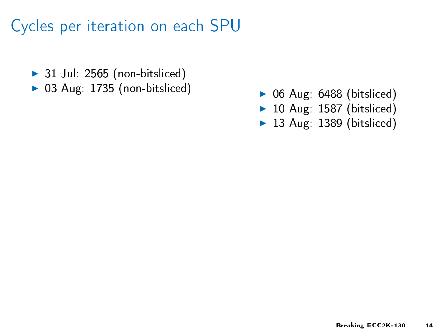- $\blacktriangleright$  31 Jul: 2565 (non-bitsliced)
- $\triangleright$  03 Aug: 1735 (non-bitsliced)
- $\triangleright$  06 Aug: 6488 (bitsliced)
- $\blacktriangleright$  10 Aug: 1587 (bitsliced)
- $\blacktriangleright$  13 Aug: 1389 (bitsliced)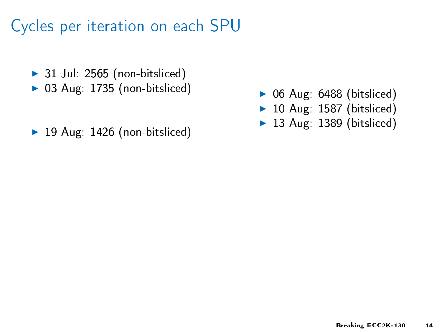- $\blacktriangleright$  31 Jul: 2565 (non-bitsliced)
- $\triangleright$  03 Aug: 1735 (non-bitsliced)
- $\blacktriangleright$  19 Aug: 1426 (non-bitsliced)
- $\triangleright$  06 Aug: 6488 (bitsliced)
- $\blacktriangleright$  10 Aug: 1587 (bitsliced)
- $\blacktriangleright$  13 Aug: 1389 (bitsliced)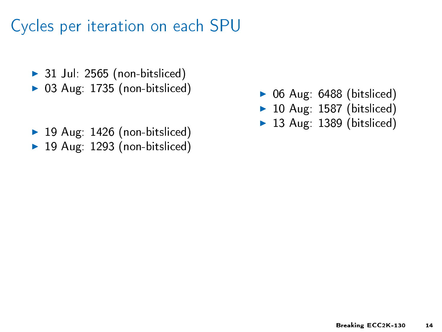- $\blacktriangleright$  31 Jul: 2565 (non-bitsliced)
- $\triangleright$  03 Aug: 1735 (non-bitsliced)
- $\blacktriangleright$  19 Aug: 1426 (non-bitsliced)
- $\blacktriangleright$  19 Aug: 1293 (non-bitsliced)
- $\triangleright$  06 Aug: 6488 (bitsliced)
- $\blacktriangleright$  10 Aug: 1587 (bitsliced)
- $\blacktriangleright$  13 Aug: 1389 (bitsliced)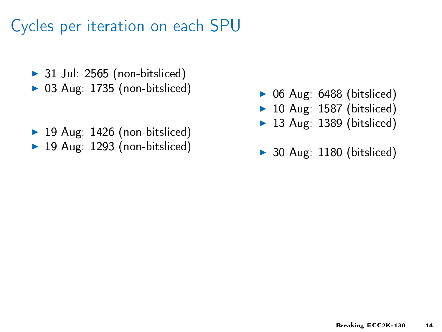- $\blacktriangleright$  31 Jul: 2565 (non-bitsliced)
- $\triangleright$  03 Aug: 1735 (non-bitsliced)
- $\blacktriangleright$  19 Aug: 1426 (non-bitsliced)
- $\blacktriangleright$  19 Aug: 1293 (non-bitsliced)
- $\triangleright$  06 Aug: 6488 (bitsliced)
- $\blacktriangleright$  10 Aug: 1587 (bitsliced)
- $\blacktriangleright$  13 Aug: 1389 (bitsliced)
- $\triangleright$  30 Aug: 1180 (bitsliced)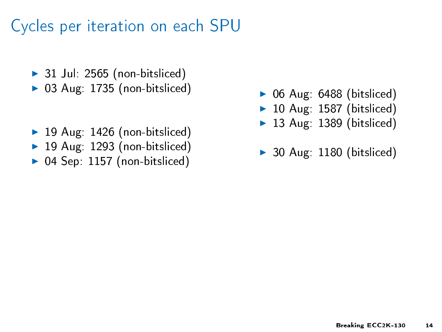- $\blacktriangleright$  31 Jul: 2565 (non-bitsliced)
- $\triangleright$  03 Aug: 1735 (non-bitsliced)
- $\blacktriangleright$  19 Aug: 1426 (non-bitsliced)
- $\blacktriangleright$  19 Aug: 1293 (non-bitsliced)
- $\triangleright$  04 Sep: 1157 (non-bitsliced)
- $\triangleright$  06 Aug: 6488 (bitsliced)
- $\blacktriangleright$  10 Aug: 1587 (bitsliced)
- $\blacktriangleright$  13 Aug: 1389 (bitsliced)
- $\triangleright$  30 Aug: 1180 (bitsliced)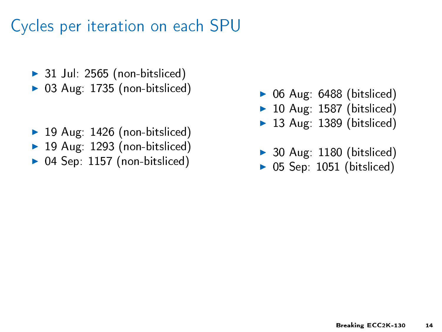- $\triangleright$  31 Jul: 2565 (non-bitsliced)
- $\triangleright$  03 Aug: 1735 (non-bitsliced)
- $\blacktriangleright$  19 Aug: 1426 (non-bitsliced)
- $\blacktriangleright$  19 Aug: 1293 (non-bitsliced)
- $\triangleright$  04 Sep: 1157 (non-bitsliced)
- $\triangleright$  06 Aug: 6488 (bitsliced)
- $\blacktriangleright$  10 Aug: 1587 (bitsliced)
- $\blacktriangleright$  13 Aug: 1389 (bitsliced)
- $\triangleright$  30 Aug: 1180 (bitsliced)
- $\triangleright$  05 Sep: 1051 (bitsliced)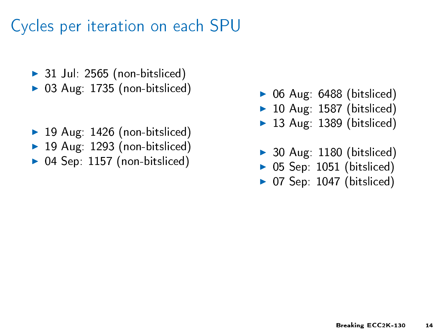- $\triangleright$  31 Jul: 2565 (non-bitsliced)
- $\triangleright$  03 Aug: 1735 (non-bitsliced)
- $\blacktriangleright$  19 Aug: 1426 (non-bitsliced)
- $\blacktriangleright$  19 Aug: 1293 (non-bitsliced)
- $\triangleright$  04 Sep: 1157 (non-bitsliced)
- $\triangleright$  06 Aug: 6488 (bitsliced)
- $\blacktriangleright$  10 Aug: 1587 (bitsliced)
- $\blacktriangleright$  13 Aug: 1389 (bitsliced)
- $\triangleright$  30 Aug: 1180 (bitsliced)
- $\triangleright$  05 Sep: 1051 (bitsliced)
- $\triangleright$  07 Sep: 1047 (bitsliced)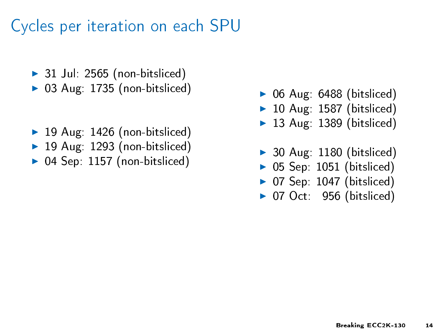- $\triangleright$  31 Jul: 2565 (non-bitsliced)
- $\triangleright$  03 Aug: 1735 (non-bitsliced)
- $\blacktriangleright$  19 Aug: 1426 (non-bitsliced)
- $\blacktriangleright$  19 Aug: 1293 (non-bitsliced)
- $\triangleright$  04 Sep: 1157 (non-bitsliced)
- $\triangleright$  06 Aug: 6488 (bitsliced)
- $\blacktriangleright$  10 Aug: 1587 (bitsliced)
- $\blacktriangleright$  13 Aug: 1389 (bitsliced)
- $\triangleright$  30 Aug: 1180 (bitsliced)
- $\triangleright$  05 Sep: 1051 (bitsliced)
- $\triangleright$  07 Sep: 1047 (bitsliced)
- $\triangleright$  07 Oct: 956 (bitsliced)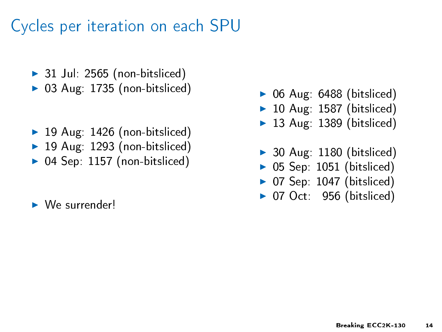- $\triangleright$  31 Jul: 2565 (non-bitsliced)
- $\triangleright$  03 Aug: 1735 (non-bitsliced)
- $\blacktriangleright$  19 Aug: 1426 (non-bitsliced)
- $\blacktriangleright$  19 Aug: 1293 (non-bitsliced)
- $\triangleright$  04 Sep: 1157 (non-bitsliced)
- $\blacktriangleright$  We surrender!
- $\triangleright$  06 Aug: 6488 (bitsliced)
- $\blacktriangleright$  10 Aug: 1587 (bitsliced)
- $\blacktriangleright$  13 Aug: 1389 (bitsliced)
- $\triangleright$  30 Aug: 1180 (bitsliced)
- $\triangleright$  05 Sep: 1051 (bitsliced)
- $\triangleright$  07 Sep: 1047 (bitsliced)
- $\triangleright$  07 Oct: 956 (bitsliced)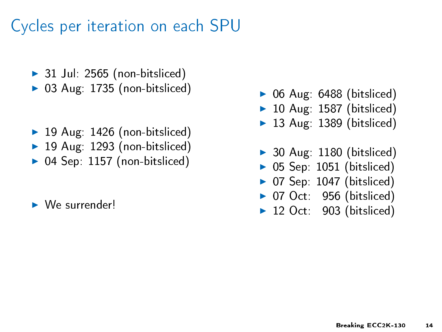- $\triangleright$  31 Jul: 2565 (non-bitsliced)
- $\triangleright$  03 Aug: 1735 (non-bitsliced)
- $\blacktriangleright$  19 Aug: 1426 (non-bitsliced)
- $\blacktriangleright$  19 Aug: 1293 (non-bitsliced)
- $\triangleright$  04 Sep: 1157 (non-bitsliced)
- $\blacktriangleright$  We surrender!
- $\triangleright$  06 Aug: 6488 (bitsliced)
- $\blacktriangleright$  10 Aug: 1587 (bitsliced)
- $\blacktriangleright$  13 Aug: 1389 (bitsliced)
- $\triangleright$  30 Aug: 1180 (bitsliced)
- $\triangleright$  05 Sep: 1051 (bitsliced)
- $\triangleright$  07 Sep: 1047 (bitsliced)
- $\triangleright$  07 Oct: 956 (bitsliced)
- $\blacktriangleright$  12 Oct: 903 (bitsliced)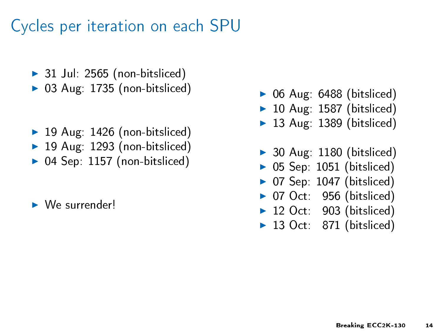- $\triangleright$  31 Jul: 2565 (non-bitsliced)
- $\triangleright$  03 Aug: 1735 (non-bitsliced)
- $\blacktriangleright$  19 Aug: 1426 (non-bitsliced)
- $\blacktriangleright$  19 Aug: 1293 (non-bitsliced)
- $\triangleright$  04 Sep: 1157 (non-bitsliced)
- $\blacktriangleright$  We surrender!
- $\triangleright$  06 Aug: 6488 (bitsliced)
- $\blacktriangleright$  10 Aug: 1587 (bitsliced)
- $\blacktriangleright$  13 Aug: 1389 (bitsliced)
- $\triangleright$  30 Aug: 1180 (bitsliced)
- $\triangleright$  05 Sep: 1051 (bitsliced)
- $\triangleright$  07 Sep: 1047 (bitsliced)
- $\triangleright$  07 Oct: 956 (bitsliced)
- $\blacktriangleright$  12 Oct: 903 (bitsliced)
- $\blacktriangleright$  13 Oct: 871 (bitsliced)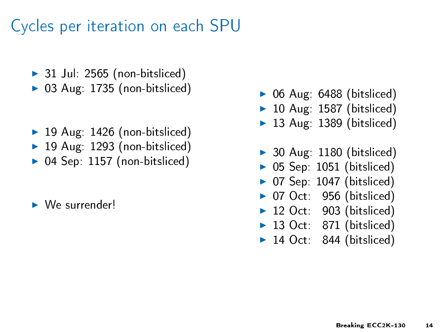- $\triangleright$  31 Jul: 2565 (non-bitsliced)
- $\triangleright$  03 Aug: 1735 (non-bitsliced)
- $\blacktriangleright$  19 Aug: 1426 (non-bitsliced)
- $\blacktriangleright$  19 Aug: 1293 (non-bitsliced)
- $\triangleright$  04 Sep: 1157 (non-bitsliced)
- $\blacktriangleright$  We surrender!
- $\triangleright$  06 Aug: 6488 (bitsliced)
- $\blacktriangleright$  10 Aug: 1587 (bitsliced)
- $\blacktriangleright$  13 Aug: 1389 (bitsliced)
- $\triangleright$  30 Aug: 1180 (bitsliced)
- $\triangleright$  05 Sep: 1051 (bitsliced)
- $\triangleright$  07 Sep: 1047 (bitsliced)
- $\triangleright$  07 Oct: 956 (bitsliced)
- $\blacktriangleright$  12 Oct: 903 (bitsliced)
- $\blacktriangleright$  13 Oct: 871 (bitsliced)
- $\blacktriangleright$  14 Oct: 844 (bitsliced)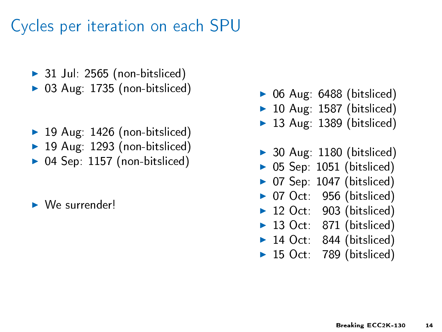- $\triangleright$  31 Jul: 2565 (non-bitsliced)
- $\triangleright$  03 Aug: 1735 (non-bitsliced)
- $\blacktriangleright$  19 Aug: 1426 (non-bitsliced)
- $\blacktriangleright$  19 Aug: 1293 (non-bitsliced)
- $\triangleright$  04 Sep: 1157 (non-bitsliced)
- $\blacktriangleright$  We surrender!
- $\triangleright$  06 Aug: 6488 (bitsliced)
- $\blacktriangleright$  10 Aug: 1587 (bitsliced)
- $\blacktriangleright$  13 Aug: 1389 (bitsliced)
- $\triangleright$  30 Aug: 1180 (bitsliced)
- $\triangleright$  05 Sep: 1051 (bitsliced)
- $\triangleright$  07 Sep: 1047 (bitsliced)
- $\triangleright$  07 Oct: 956 (bitsliced)
- $\blacktriangleright$  12 Oct: 903 (bitsliced)
- $\blacktriangleright$  13 Oct: 871 (bitsliced)
- $\blacktriangleright$  14 Oct: 844 (bitsliced)
- $\blacktriangleright$  15 Oct: 789 (bitsliced)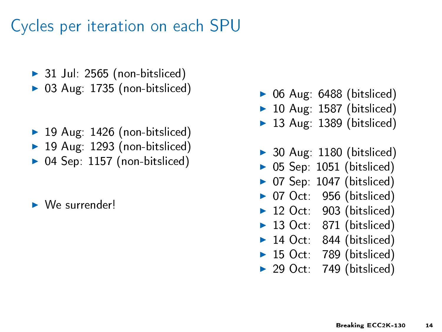- $\triangleright$  31 Jul: 2565 (non-bitsliced)
- $\triangleright$  03 Aug: 1735 (non-bitsliced)
- $\blacktriangleright$  19 Aug: 1426 (non-bitsliced)
- $\blacktriangleright$  19 Aug: 1293 (non-bitsliced)
- $\triangleright$  04 Sep: 1157 (non-bitsliced)
- $\blacktriangleright$  We surrender!
- $\triangleright$  06 Aug: 6488 (bitsliced)
- $\blacktriangleright$  10 Aug: 1587 (bitsliced)
- $\blacktriangleright$  13 Aug: 1389 (bitsliced)
- $\triangleright$  30 Aug: 1180 (bitsliced)
- $\triangleright$  05 Sep: 1051 (bitsliced)
- $\triangleright$  07 Sep: 1047 (bitsliced)
- $\triangleright$  07 Oct: 956 (bitsliced)
- $\blacktriangleright$  12 Oct: 903 (bitsliced)
- $\blacktriangleright$  13 Oct: 871 (bitsliced)
- $\blacktriangleright$  14 Oct: 844 (bitsliced)
- $\blacktriangleright$  15 Oct: 789 (bitsliced)
- $\triangleright$  29 Oct: 749 (bitsliced)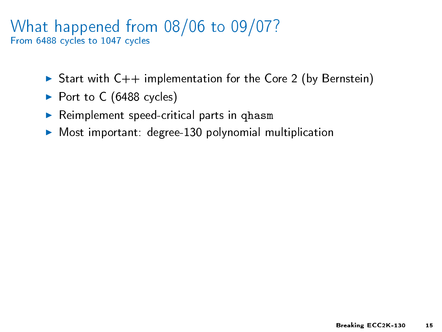#### What happened from 08/06 to 09/07? From 6488 cycles to 1047 cycles

- Start with  $C++$  implementation for the Core 2 (by Bernstein)
- $\blacktriangleright$  Port to C (6488 cycles)
- $\blacktriangleright$  Reimplement speed-critical parts in qhasm
- $\triangleright$  Most important: degree-130 polynomial multiplication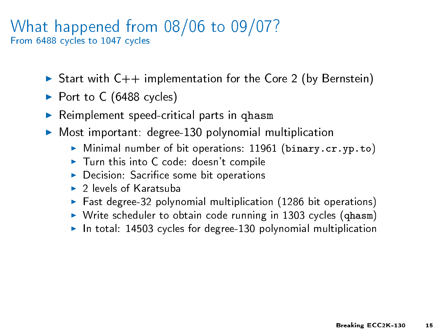#### What happened from 08/06 to 09/07? From 6488 cycles to 1047 cycles

- Start with  $C++$  implementation for the Core 2 (by Bernstein)
- $\blacktriangleright$  Port to C (6488 cycles)
- $\blacktriangleright$  Reimplement speed-critical parts in qhasm
- ▶ Most important: degree-130 polynomial multiplication
	- $\triangleright$  Minimal number of bit operations: 11961 (binary.cr.yp.to)
	- $\blacktriangleright$  Turn this into C code: doesn't compile
	- $\triangleright$  Decision: Sacrifice some bit operations
	- $\triangleright$  2 levels of Karatsuba
	- $\blacktriangleright$  Fast degree-32 polynomial multiplication (1286 bit operations)
	- $\triangleright$  Write scheduler to obtain code running in 1303 cycles (qhasm)
	- $\blacktriangleright$  In total: 14503 cycles for degree-130 polynomial multiplication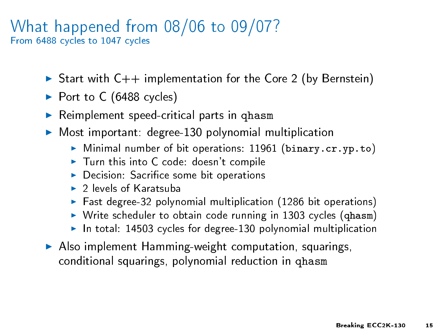#### What happened from 08/06 to 09/07? From 6488 cycles to 1047 cycles

- Start with  $C++$  implementation for the Core 2 (by Bernstein)
- $\blacktriangleright$  Port to C (6488 cycles)
- $\blacktriangleright$  Reimplement speed-critical parts in qhasm
- ▶ Most important: degree-130 polynomial multiplication
	- $\triangleright$  Minimal number of bit operations: 11961 (binary.cr.yp.to)
	- $\blacktriangleright$  Turn this into C code: doesn't compile
	- $\triangleright$  Decision: Sacrifice some bit operations
	- $\triangleright$  2 levels of Karatsuba
	- $\blacktriangleright$  Fast degree-32 polynomial multiplication (1286 bit operations)
	- $\triangleright$  Write scheduler to obtain code running in 1303 cycles (qhasm)
	- $\blacktriangleright$  In total: 14503 cycles for degree-130 polynomial multiplication
- $\blacktriangleright$  Also implement Hamming-weight computation, squarings, conditional squarings, polynomial reduction in qhasm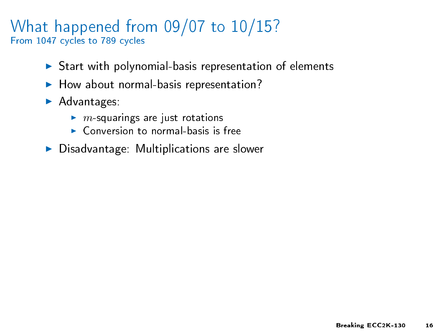#### What happened from 09/07 to 10/15? From 1047 cycles to 789 cycles

- $\triangleright$  Start with polynomial-basis representation of elements
- $\blacktriangleright$  How about normal-basis representation?
- $\blacktriangleright$  Advantages:
	- $\blacktriangleright$  m-squarings are just rotations
	- $\triangleright$  Conversion to normal-basis is free
- $\blacktriangleright$  Disadvantage: Multiplications are slower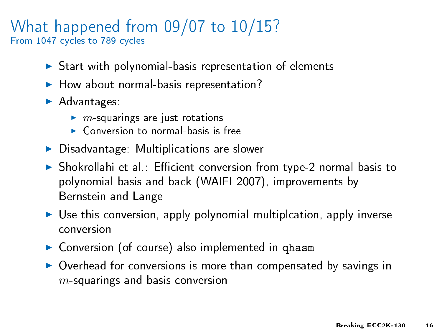#### What happened from 09/07 to 10/15? From 1047 cycles to 789 cycles

- $\triangleright$  Start with polynomial-basis representation of elements
- $\blacktriangleright$  How about normal-basis representation?
- $\blacktriangleright$  Advantages:
	- $\blacktriangleright$  m-squarings are just rotations
	- $\triangleright$  Conversion to normal-basis is free
- $\blacktriangleright$  Disadvantage: Multiplications are slower
- $\triangleright$  Shokrollahi et al.: Efficient conversion from type-2 normal basis to polynomial basis and back (WAIFI 2007), improvements by Bernstein and Lange
- $\triangleright$  Use this conversion, apply polynomial multiplcation, apply inverse conversion
- ▶ Conversion (of course) also implemented in qhasm
- $\triangleright$  Overhead for conversions is more than compensated by savings in  $m$ -squarings and basis conversion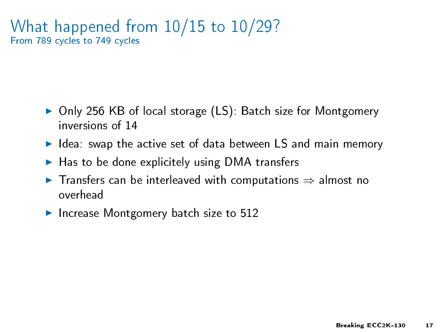#### What happened from 10/15 to 10/29? From 789 cycles to 749 cycles

- Only 256 KB of local storage (LS): Batch size for Montgomery inversions of 14
- $\blacktriangleright$  Idea: swap the active set of data between LS and main memory
- $\blacktriangleright$  Has to be done explicitely using DMA transfers
- $\triangleright$  Transfers can be interleaved with computations  $\Rightarrow$  almost no overhead
- Increase Montgomery batch size to 512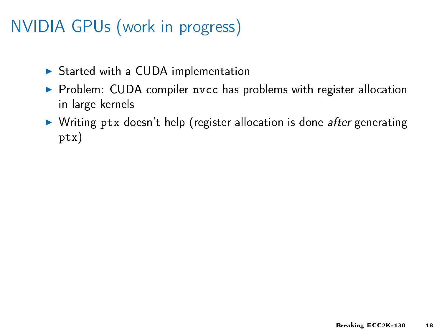# NVIDIA GPUs (work in progress)

- $\triangleright$  Started with a CUDA implementation
- $\triangleright$  Problem: CUDA compiler nvcc has problems with register allocation in large kernels
- $\triangleright$  Writing ptx doesn't help (register allocation is done after generating ptx)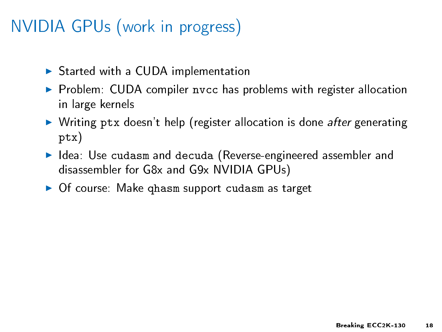# NVIDIA GPUs (work in progress)

- $\triangleright$  Started with a CUDA implementation
- **Problem: CUDA compiler nvcc has problems with register allocation** in large kernels
- In Writing ptx doesn't help (register allocation is done *after* generating ptx)
- I Idea: Use cudasm and decuda (Reverse-engineered assembler and disassembler for G8x and G9x NVIDIA GPUs)
- $\triangleright$  Of course: Make ghasm support cudasm as target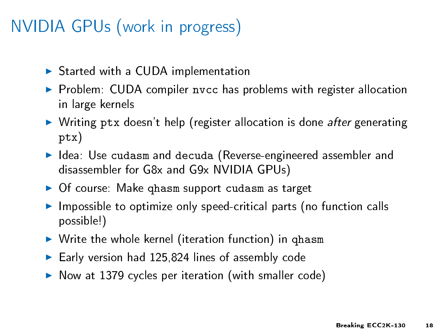# NVIDIA GPUs (work in progress)

- $\triangleright$  Started with a CUDA implementation
- **Problem: CUDA compiler nvcc has problems with register allocation** in large kernels
- In Writing ptx doesn't help (register allocation is done *after* generating ptx)
- I Idea: Use cudasm and decuda (Reverse-engineered assembler and disassembler for G8x and G9x NVIDIA GPUs)
- $\triangleright$  Of course: Make ghasm support cudasm as target
- $\blacktriangleright$  Impossible to optimize only speed-critical parts (no function calls possible!)
- $\triangleright$  Write the whole kernel (iteration function) in qhasm
- $\blacktriangleright$  Early version had 125,824 lines of assembly code
- $\triangleright$  Now at 1379 cycles per iteration (with smaller code)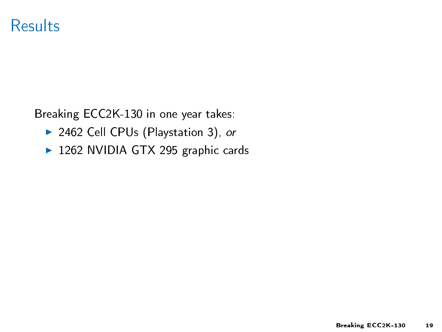### Results

Breaking ECC2K-130 in one year takes:

- ▶ 2462 Cell CPUs (Playstation 3), or
- ▶ 1262 NVIDIA GTX 295 graphic cards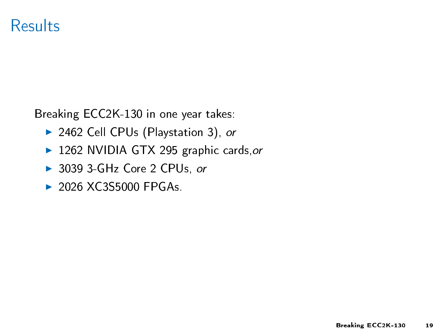### Results

Breaking ECC2K-130 in one year takes:

- ▶ 2462 Cell CPUs (Playstation 3), or
- ▶ 1262 NVIDIA GTX 295 graphic cards, or
- ▶ 3039 3-GHz Core 2 CPUs, or
- $\triangleright$  2026 XC3S5000 FPGAs.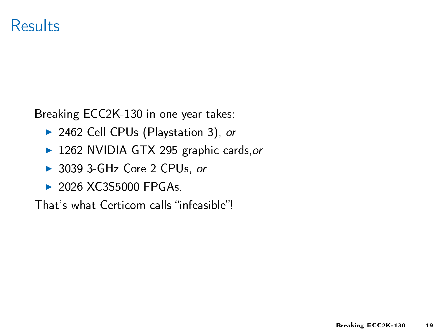### Results

Breaking ECC2K-130 in one year takes:

- ▶ 2462 Cell CPUs (Playstation 3), or
- 1262 NVIDIA GTX 295 graphic cards, or
- ▶ 3039 3-GHz Core 2 CPUs, or
- $\triangleright$  2026 XC3S5000 FPGAs.

That's what Certicom calls "infeasible"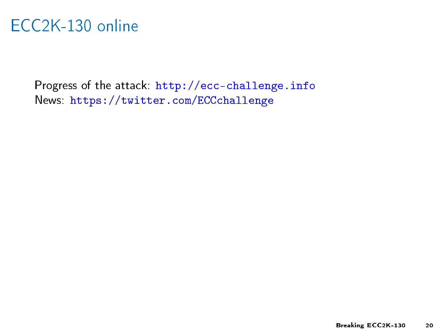# ECC2K-130 online

Progress of the attack: <http://ecc-challenge.info> News: <https://twitter.com/ECCchallenge>